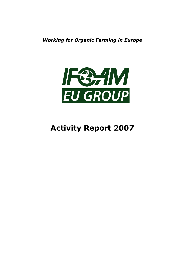Working for Organic Farming in Europe



# Activity Report 2007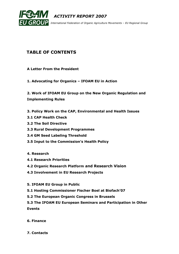

## TABLE OF CONTENTS

- A Letter From the President
- 1. Advocating for Organics IFOAM EU in Action

2. Work of IFOAM EU Group on the New Organic Regulation and Implementing Rules

- 3. Policy Work on the CAP, Environmental and Health Issues
- 3.1 CAP Health Check
- 3.2 The Soil Directive
- 3.3 Rural Development Programmes
- 3.4 GM Seed Labeling Threshold
- 3.5 Input to the Commission's Health Policy
- 4. Research
- 4.1 Research Priorities
- 4.2 Organic Research Platform and Research Vision
- 4.3 Involvement in EU Research Projects
- 5. IFOAM EU Group in Public
- 5.1 Hosting Commissioner Fischer Boel at Biofach'07
- 5.2 The European Organic Congress in Brussels

5.3 The IFOAM EU European Seminars and Participation in Other Events

- 6. Finance
- 7. Contacts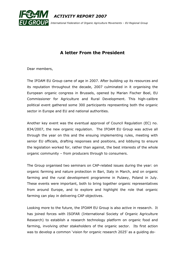

# A letter From the President

Dear members,

The IFOAM EU Group came of age in 2007. After building up its resources and its reputation throughout the decade, 2007 culminated in it organising the European organic congress in Brussels, opened by Marian Fischer Boel, EU Commissioner for Agriculture and Rural Development. This high-calibre political event gathered some 300 participants representing both the organic sector in Europe and EU and national authorities.

Another key event was the eventual approval of Council Regulation (EC) no. 834/2007, the new organic regulation. The IFOAM EU Group was active all through the year on this and the ensuing implementing rules, meeting with senior EU officials, drafting responses and positions, and lobbying to ensure the legislation worked for, rather than against, the best interests of the whole organic community – from producers through to consumers.

The Group organised two seminars on CAP-related issues during the year: on organic farming and nature protection in Bari, Italy in March, and on organic farming and the rural development programme in Pulawy, Poland in July. These events were important, both to bring together organic representatives from around Europe, and to explore and highlight the role that organic farming can play in delivering CAP objectives.

Looking more to the future, the IFOAM EU Group is also active in research. It has joined forces with ISOFAR (International Society of Organic Agriculture Research) to establish a research technology platform on organic food and farming, involving other stakeholders of the organic sector. Its first action was to develop a common 'vision for organic research 2025' as a guiding do-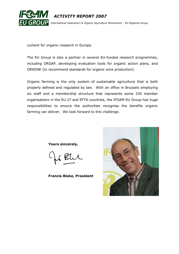

cument for organic research in Europe.

The EU Group is also a partner in several EU-funded research programmes, including ORGAP, developing evaluation tools for organic action plans, and ORWINE (to recommend standards for organic wine production).

Organic farming is the only system of sustainable agriculture that is both properly defined and regulated by law. With an office in Brussels employing six staff and a membership structure that represents some 330 member organisations in the EU 27 and EFTA countries, the IFOAM EU Group has huge responsibilities to ensure the authorities recognise the benefits organic farming can deliver. We look forward to this challenge.

Yours sincerely,

Francis Blake, President

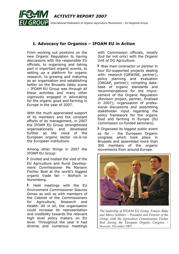

## 1. Advocacy for Organics – IFOAM EU in Action

From working out positions on the new Organic Regulation to having discussions with the responsible EU officials, to organising and taking part in important organic events, to setting up a platform for organic research, to growing and maturing as an organisation and establishing better on the Brussels lobby scene – IFOAM EU Group was through all these activities and many other vigorously engaged in advocating for the organic good and farming in Europe in the year of 2007.

With the much appreciated support of its members and the constant efforts of its management, in 2007 the IFOAM EU Group strengthened organisationally and developed further as the voice of the European organic sector vis-à-vis the European institutions.

Among other things in 2007 the IFOAM EU Group:

Invited and hosted the visit of the EU Agriculture and Rural Development Commissioner Ms Mariann Fischer Boel at the world's biggest organic trade fair – BioFach in Nuremberg.

> Held meetings with the EU Environment Commissioner Stavros Dimas as well as with members of the Cabinet of the Commissioners for Agriculture, Research and Health. All in all, the organisation could increase its representation and credibility towards the relevant high level policy makers on EU level. Throughout the year it had diverse and numerous meetings with Commission officials, mostly (but far not only) with the Organic Unit of DG Agriculture.

 Was main contractor or partner in four EU-supported projects dealing with: research (ORWINE, partner); policy planning and evaluation (ORGAP, partner); compiling database of organic standards and recommendations for the improvement of the Organic Regulation (Revision project, partner, finalised in 2007); organisation of professional discussions and assembling stakeholder input regarding the policy framework for the organic food and farming in Europe (EU Commission co-funded seminars).

 Organised its biggest public event so far – the European Organic congress which took place in Brussels and assembled more than 300 members of the organic movements from around Europe.



The leadership of IFOAM EU Group, Francis Blake and Marco Schlüter – President and Director of the Group, with the Agriculture Commissioner Fischer Boel during the European Organic Congress – Brussels, December 2007.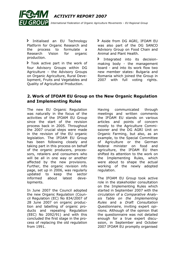

**F** Initialised an EU Technology Platform for Organic Research and the process to formulate a Research Vision for organic production.

Took active part in the work of four Advisory Groups within DG Agriculture – the Advisory Groups on Organic Agriculture, Rural Development, Fruits and Vegetables and Quality of Agricultural Production.

> Aside from DG AGRI, IFOAM EU was also part of the DG SANCO Advisory Group on Food Chain and Animal and Plant Health.

 Integrated into its decisionmaking body - the management board - and into its work flow two new member states: Bulgaria and Romania which joined the Group in 2007 with full voting rights.

## 2. Work of IFOAM EU Group on the New Organic Regulation and Implementing Rules

The new EU Organic Regulation was naturally in the focus of the activities of the IFOAM EU Group since the start of the revision process back in 2005. Throughout the 2007 crucial steps were made in the revision of the EU organic legislation. The IFOAM EU Group has been following closely and taking part in this process on behalf of the organic producers, processors, retailers and consumers who will be all in one way or another affected by the new provisions. Further, the organic revision info page, set up in 2006, was regularly updated to keep the sector informed about latest developments.

In June 2007 the Council adopted the new Organic Regulation (Council Regulation (EC) No 834/2007 of 28 June 2007 on organic production and labelling of organic products and repealing Regulation (EEC) No 2092/91) and with this concluded the first stage in the process of replacing the old regulation from 1991.

Having communicated through meetings and written comments the IFOAM EU stands on various articles and points of concern mostly to the Agriculture Commissioner and the DG AGRI Unit on Organic Farming, but also, as an example, to the Special Committee of Agriculture or the German federal minister on food and agriculture, the IFOAM EU then shifted its attention to the work on the Implementing Rules, which were about to shape the actual working of the newly adopted regulation.

The IFOAM EU Group took active role in the stakeholder consultation on the Implementing Rules which started in September 2007 with the circulation of a Comparative Analysis Table on the Implementing Rules and a Draft Consultation Questionnaire, inviting expert opinions. Although of the opinion that the questionnaire was not detailed enough for a true expert discussion, in September and October 2007 IFOAM EU promptly organised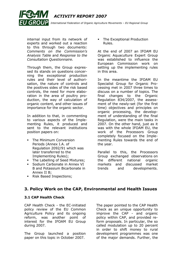

internal input from its network of experts and worked out a reaction to this through two documents: Comments on the Commission's Analysis Table and Response to the Consultation Questionnaire.

Through them, the Group expressed its stands on questions concerning the exceptional production rules and their level of authorisation, the nature of controls and the positives sides of the risk based controls, the need for more elaboration in the area of poultry production, the way of calculation of organic content, and other issues of importance for the organic sector.

In addition to that, in commenting to various aspects of the Implementing Rules, it produced and sent to the relevant institutions position papers on:

- The Minimum Conversion Periods (Annex I.A. of Regulation 2092/91 which was later transferred to the Implementing Rules);
- The Labelling of Seed Mixtures:
- Sodium Carbonate in Annex VI B and Potassium Bicarbonate in Annex II B;
- **Risk Based Inspections;**

 The Exceptional Production Rules.

At the end of 2007 an IFOAM EU Organic Aquaculture Expert Group was established to influence the European Commission work on setting up the implementing rules in this area.

In the meantime the IFOAM EU Specialist Group for Organic Processing met in 2007 three times to discuss on a number of topics. The final changes to the Organic Regulation 834/2007, the assessment of the newly-set (for the first time) objectives and principles on organic processing, the development of understanding of the final Regulation, were the main tasks in 2007. On the other hand, just as it was with the whole IFOAM EU, the work of the Processors Group completely focused on the Implementing Rules towards the end of the year.

Parallel to this, the Processors Group exchanged observations on the different national organic markets and discussed market trends and developments.

## 3. Policy Work on the CAP, Environmental and Health Issues

#### 3.1 CAP Health Check

CAP Health Check - the EC-initiated policy review of the EU Common Agriculture Policy and its ongoing reform, was another point of interest for the IFOAM EU Group during 2007.

The Group launched a position paper on this topic in October 2007.

The paper pointed to the CAP Health Check as an unique opportunity to improve the CAP - and organic policy within CAP, and provided reform proposals. In particular, the so called modulation up to 20 percent in order to shift money to rural development programmes was one of the major demands. Further, the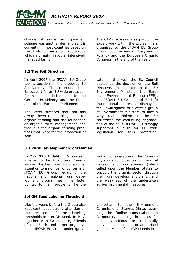

change of single farm payment scheme was another demand as it is currently in most countries based on the historic basis of 2000-2002 which normally favours intensively managed farms.

3.2 The Soil Directive

In April 2007 the IFOAM EU Group took a position on the proposed EU Soil Directive. The Group underlined its support for an EU wide protection for soil in a letter sent to the German Presidency and the President of the European Parliament.

The letter stresses that soil has always been the starting point for organic farming and the foundation of organic farm management and that it is the organic farming practices that work for the protection of soils.

3.3 Rural Development Programmes

In May 2007 IFOAM EU Group sent a letter to the Agriculture Commissioner Fischer Boel to draw her attention to a number of concerns of IFOAM EU Group regarding the national and regional rural development programmes. The letter pointed to main problems like the

3.4 GM Seed Labeling Threshold

Like the years before the Group also kept continuous strong attention on the problem of the labelling thresholds in non GM seed. In May, together with Greenpeace, Friends of the Earth and other organisations, IFOAM EU Group undersigned

The CAP discussion was part of the expert work within the two seminars organised by the IFOAM EU Group throughout the year (in Italy and in Poland) and the European Organic Congress in the end of the year.

Later in the year the EU Council postponed the decision on the Soil Directive. In a letter to the EU Environment Ministers, the European Environmental Bureau (EEB), the IFOAM EU Group and BirdLife International expressed dismay at the unwillingness of a certain group of Environment Ministers to face a very real problem in the EU countries: the continuing degradation of the soils. IFOAM EU strongly supported a push for EU wide legislation for soils protection.

lack of consideration of the Community strategic guidelines for the rural development programmes (which called upon the Member States to support the organic sector through their rural development plans), and the weakness of the undertaken agri-environmental measures.

a Letter to the Environment Commissioner Stavros Dimas regarding the "online consultation on Community labelling thresholds for the adventitious or technically unavoidable presence of authorised genetically modified (GM) seeds in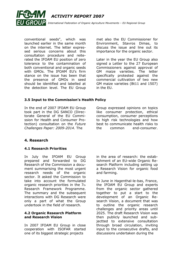

conventional seeds", which was launched earlier in the same month on the internet. The letter expressed serious concerns about this consultation procedure and reiterated the IFOAM EU position of zero tolerance to the contamination of both conventional and organic seeds with GMOs. The IFOAM EU's firm stance on the issue has been that the presence of GMOs in seed should be identified and labelled at the detection level. The EU Group met also the EU Commissioner for Environment, Stavros Dimas, to discuss the issue and line out its importance for the organic sector.

Later in the year the EU Group also signed a Letter to the 27 European Commissioners against approval of GM maize varieties. The letter specifically protested against the commercial cultivation of two new GM maize varieties (Bt11 and 1507) in the EU.

#### 3.5 Input to the Commission's Health Policy

In the end of 2007 IFOAM EU Group took part in the DG SANCO (Directorate General of the EU Commission for Health and Consumer Protection) consultation on the Future Challenges Paper: 2009-2014. The

Group expressed opinions on topics like consumer protection, ethical consumption, consumer perceptions to high risk technologies and how best to communicate health risks to the common end-consumer.

#### 4. Research

#### 4.1 Research Priorities

In July the IFOAM EU Group prepared and forwarded to DG Research of the Commission a document summarising the most urgent research needs of the organic sector. It asked the Commission to take into account the formulated organic research priorities in the 7th Research Framework Programme. The summary and the subsequent interactions with DG Research were only a part of what the Group undertook in the field of research.

#### 4.2 Organic Research Platform and Research Vision

In 2007 IFOAM EU Group in close cooperation with ISOFAR started one of its biggest strategic projects

in the area of research: the establishment of an EU-wide Organic Research Platform including setting up a Research Vision for organic food and farming.

In June in Hagenthal-le-bas, France, the IFOAM EU Group and experts from the organic sector gathered together to put a start to the development of an Organic Research Vision, a document that was to outline the organic research challenges and priority areas until 2025. The draft Research Vision was then publicly launched and subjectted to extensive consultation through broad circulation, inviting input to the consecutive drafts, and discussions undertaken during the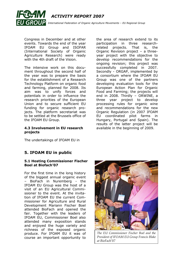

Congress in December and at other events. Towards the end of the year IFOAM EU Group and ISOFAR (International Society of Organic Agriculture Research) were ready with the 4th draft of the Vision.

The intensive work on this document throughout the second half of the year was to prepare the basis for the establishment of a Research Technology Platform on organic food and farming, planned for 2008. Its aim was to unify forces and potentials in order to influence the research priorities of the European Union and to secure sufficient EU funding for organic research projects. The platform secretariat was to be settled at the Brussels office of the IFOAM EU Group.

#### 4.3 Involvement in EU research projects

The undertakings of IFOAM EU in

## 5. IFOAM EU in public

#### 5.1 Hosting Commissioner Fischer Boel at Biofach'07

For the first time in the long history of the biggest annual organic event – BioFach in Nuremberg - the IFOAM EU Group was the host of a visit of an EU Agricultural Commissioner to the event. At the invitation of IFOAM EU the current Commissioner for Agriculture and Rural Development Mariann Fischer Boel attended BioFach and opened the fair. Together with the leaders of IFOAM EU, Commissioner Boel also attended many exposition stands and enjoyed the huge variety and richness of the exposed organic produce. For IFOAM EU it was of course an important opportunity to

The EU Commissioner Fischer Boel and the President of IFOAM EU Group Francis Blake at BioFach'07

participation in three researchrelated projects. That is, the Organic Revision project – a threeyear project with the objective to develop recommendations for the ongoing revision; this project was successfully completed in 2007. Secondly - ORGAP, implemented by a consortium where the IFOAM EU Group was one of the partners developing evaluation tools for the European Action Plan for Organic Food and Farming; the projects will end in 2008. Thirdly – ORWINE, a three year project to develop processing rules for organic wine and recommendations for the new Organic Regulation (in 2007 IFOAM EU coordinated pilot farms in Hungary, Portugal and Spain). The results of the latter project will be available in the beginning of 2009.

the area of research extend to its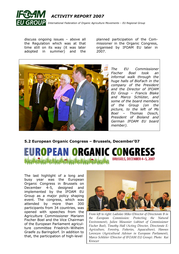

discuss ongoing issues – above all the Regulation which was at that time still on its way (it was later adopted in summer) and the planned participation of the Commissioner in the Organic Congress, organised by IFOAM EU later in 2007.



The EU Commissioner Fischer Boel took an informal walk through the huge halls of BioFach in the company of the President and the Director of IFOAM EU Group – Francis Blake and Marco Schlüter, and some of the board members of the Group (on the picture, to the left of Ms Boel – Thomas Dosch, President of Bioland and German IFOAM EU board member).

5.2 European Organic Congress – Brussels, December'07



The last highlight of a long and busy year was the European Organic Congress in Brussels on December 4-5, designed and implemented by the IFOAM EU Group as a major policy shaping event. The congress, which was attended by more than 300 participants from 34 countries, was opened with speeches from the Agriculture Commissioner Mariann Fischer Boel and the Vice Chairman of the European Parliament agriculture committee Friedrich–Wilhelm Graefe zu Baringdorf. In addition to that, the participation of high-level



From left to right: Ladislav Miko (Director of Directorate B in the European Commission: Protecting the Natural Environment), Julien Mousnier (cabinet of Commissioner Fischer Boel), Timothy Hall (Acting Director, Directorate E: Agriculture, Forestry, Fisheries, Aquaculture), Hannes Lorenzen (Agricultural Advisor in European Parliament), Marco Schlüter (Director of IFOAM EU Group). Photo: Kai Kreuzer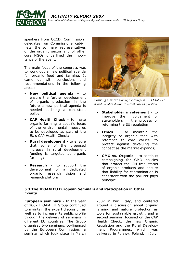

 ACTIVITY REPORT 2007 International Federation of Organic Agriculture Movements – EU Regional Group

speakers from OECD, Commission delegates from Commissioner cabinets, the so many representatives of the organic sector and of other core NGOs underlined the importance of the event.

The main focus of the congress was to work out a new political agenda for organic food and farming. It came up with conclusions and recommendations in the following areas:

- **New political agenda to** ensure the further development of organic production in the future a new political agenda is needed outlining a consistent policy.
- **CAP Health Check to make** organic farming a specific focus of the environmental measures to be developed as part of the EU's CAP Health Check;
- **Rural development** to ensure that some of the proposed increase in rural development funding is targeted at organic farming;
- **Research** to support the development of a dedicated organic research vision and research platform;



Working moment during the congress – IFOAM EU board member Anton Pinschof poses a question.

- Stakeholder involvement to improve the involvement of stakeholders in the process of reforming the EU regulation;
- Ethics to maintain the integrity of organic food with reference to core values, to protect against devaluing the concept as the market expands;
- GMO vs. Organic to continue campaigning for GMO policies that protect the GM free status of organic products and ensure that liability for contamination is consistent with the polluter pays principle.

#### 5.3 The IFOAM EU European Seminars and Participation in Other Events

**European seminars - In the year** of 2007 IFOAM EU Group continued to maintain the expert discussion as well as to increase its public profile through the delivery of seminars in different EU countries. The Group organised two seminars, co-financed by the European Commission: a seminar which took place in March

2007 in Bari, Italy, and centered around a discussion about organic farming and nature protection as tools for sustainable growth; and a second seminar, focused on the CAP Health Check, the new Organic Regulation and the Rural Development Programmes, which was delivered in Pulawy, Poland, in July.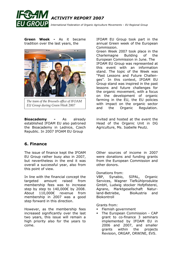

Green Week - As it became tradition over the last years, the



The team of the Brussels office of IFOAM EU Group during Green Week 2007

**Bioacademy -** As already established IFOAM EU also patroned the Bioacademy in Lednice, Czech Republic. In 2007 IFOAM EU Group

## 6. Finance

The issue of finance kept the IFOAM EU Group rather busy also in 2007, but nevertheless in the end it was overall a successful year, also from this point of view.

In line with the financial concept the targeted amount raised from membership fees was to increase step by step to 140,000€ by 2008. About 110,000€ revenue from membership in 2007 was a good step forward in this direction.

However, as the membership fees increased significantly over the last two years, this issue will remain a high priority also for the years to come.

IFOAM EU Group took part in the annual Green week of the European Commission.

Green Week 2007 took place in the Charlemagne Building of the European Commission in June. The IFOAM EU Group was represented at this event with an information stand. The topic of the Week was "Past Lessons and Future Challenges". In this context, IFOAM EU Group stand was inspired in the past lessons and future challenges for the organic movement, with a focus on the development of organic farming in the EU, the EU policies with impact on the organic sector and the Organic Regulation.

invited and hosted at the event the Head of the Organic Unit in DG Agriculture, Ms. Isabelle Peutz.

Other sources of income in 2007 were donations and funding grants from the European Commission and other donors.

#### Donations from:

VBP, Synabio, SIPAL, Organic Services, Wagner Tiefkühlprodukte GmbH, Ludwig stocker Hofpfisterei, Agrano, Marktgesellschaft Naturland-Betriebe, BioAustria and Biokontroll

Grants from:

- Flemish government
- The European Commission CAP grant to co-finance 3 seminars implemented by IFOAM EU in 2006 and 2007, and smaller grants within the projects Revision, ORGAP, ORWINE, EVS.